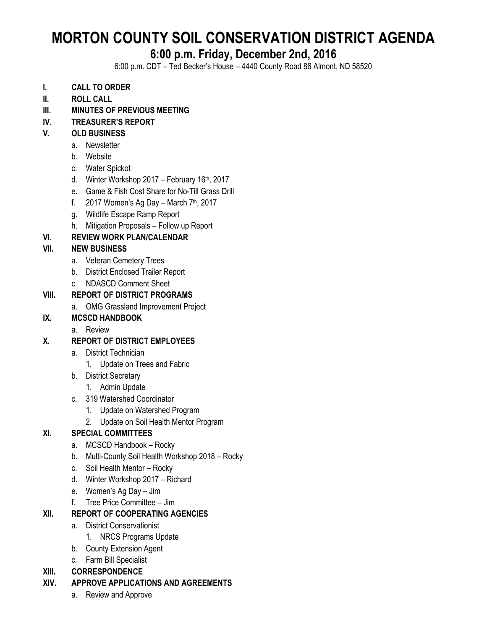# **MORTON COUNTY SOIL CONSERVATION DISTRICT AGENDA**

## **6:00 p.m. Friday, December 2nd, 2016**

6:00 p.m. CDT – Ted Becker's House – 4440 County Road 86 Almont, ND 58520

- **I. CALL TO ORDER**
- **II. ROLL CALL**
- **III. MINUTES OF PREVIOUS MEETING**
- **IV. TREASURER'S REPORT**

#### **V. OLD BUSINESS**

- a. Newsletter
- b. Website
- c. Water Spickot
- d. Winter Workshop  $2017$  February  $16<sup>th</sup>$ ,  $2017$
- e. Game & Fish Cost Share for No-Till Grass Drill
- f.  $2017$  Women's Ag Day March  $7<sup>th</sup>$ , 2017
- g. Wildlife Escape Ramp Report
- h. Mitigation Proposals Follow up Report

#### **VI. REVIEW WORK PLAN/CALENDAR**

#### **VII. NEW BUSINESS**

- a. Veteran Cemetery Trees
- b. District Enclosed Trailer Report
- c. NDASCD Comment Sheet

#### **VIII. REPORT OF DISTRICT PROGRAMS**

a. OMG Grassland Improvement Project

#### **IX. MCSCD HANDBOOK**

a. Review

#### **X. REPORT OF DISTRICT EMPLOYEES**

- a. District Technician
	- 1. Update on Trees and Fabric
- b. District Secretary
	- 1. Admin Update
- c. 319 Watershed Coordinator
	- 1. Update on Watershed Program
	- 2. Update on Soil Health Mentor Program

#### **XI. SPECIAL COMMITTEES**

- a. MCSCD Handbook Rocky
- b. Multi-County Soil Health Workshop 2018 Rocky
- c. Soil Health Mentor Rocky
- d. Winter Workshop 2017 Richard
- e. Women's Ag Day Jim
- f. Tree Price Committee Jim

#### **XII. REPORT OF COOPERATING AGENCIES**

- a. District Conservationist
	- 1. NRCS Programs Update
- b. County Extension Agent
- c. Farm Bill Specialist

#### **XIII. CORRESPONDENCE**

#### **XIV. APPROVE APPLICATIONS AND AGREEMENTS**

a. Review and Approve